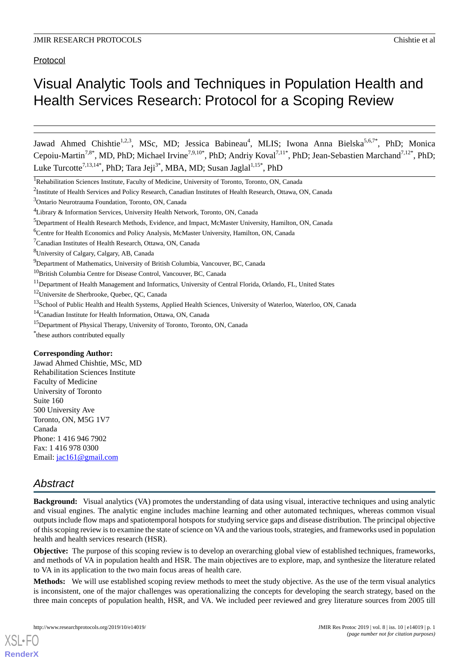Protocol

# Visual Analytic Tools and Techniques in Population Health and Health Services Research: Protocol for a Scoping Review

Jawad Ahmed Chishtie<sup>1,2,3</sup>, MSc, MD; Jessica Babineau<sup>4</sup>, MLIS; Iwona Anna Bielska<sup>5,6,7\*</sup>, PhD; Monica Cepoiu-Martin<sup>7,8\*</sup>, MD, PhD; Michael Irvine<sup>7,9,10\*</sup>, PhD; Andriy Koval<sup>7,11\*</sup>, PhD; Jean-Sebastien Marchand<sup>7,12\*</sup>, PhD; Luke Turcotte<sup>7,13,14\*</sup>, PhD; Tara Jeji<sup>3\*</sup>, MBA, MD; Susan Jaglal<sup>1,15\*</sup>, PhD

<sup>11</sup>Department of Health Management and Informatics, University of Central Florida, Orlando, FL, United States

<sup>12</sup>Universite de Sherbrooke, Quebec, OC, Canada

#### **Corresponding Author:**

Jawad Ahmed Chishtie, MSc, MD Rehabilitation Sciences Institute Faculty of Medicine University of Toronto Suite 160 500 University Ave Toronto, ON, M5G 1V7 Canada Phone: 1 416 946 7902 Fax: 1 416 978 0300 Email: [jac161@gmail.com](mailto:jac161@gmail.com)

# *Abstract*

[XSL](http://www.w3.org/Style/XSL)•FO **[RenderX](http://www.renderx.com/)**

**Background:** Visual analytics (VA) promotes the understanding of data using visual, interactive techniques and using analytic and visual engines. The analytic engine includes machine learning and other automated techniques, whereas common visual outputs include flow maps and spatiotemporal hotspots for studying service gaps and disease distribution. The principal objective of this scoping review is to examine the state of science on VA and the various tools, strategies, and frameworks used in population health and health services research (HSR).

**Objective:** The purpose of this scoping review is to develop an overarching global view of established techniques, frameworks, and methods of VA in population health and HSR. The main objectives are to explore, map, and synthesize the literature related to VA in its application to the two main focus areas of health care.

**Methods:** We will use established scoping review methods to meet the study objective. As the use of the term visual analytics is inconsistent, one of the major challenges was operationalizing the concepts for developing the search strategy, based on the three main concepts of population health, HSR, and VA. We included peer reviewed and grey literature sources from 2005 till

<sup>&</sup>lt;sup>1</sup>Rehabilitation Sciences Institute, Faculty of Medicine, University of Toronto, Toronto, ON, Canada

<sup>&</sup>lt;sup>2</sup>Institute of Health Services and Policy Research, Canadian Institutes of Health Research, Ottawa, ON, Canada

<sup>3</sup>Ontario Neurotrauma Foundation, Toronto, ON, Canada

<sup>4</sup>Library & Information Services, University Health Network, Toronto, ON, Canada

<sup>5</sup>Department of Health Research Methods, Evidence, and Impact, McMaster University, Hamilton, ON, Canada

<sup>6</sup>Centre for Health Economics and Policy Analysis, McMaster University, Hamilton, ON, Canada

<sup>7</sup>Canadian Institutes of Health Research, Ottawa, ON, Canada

<sup>8</sup>University of Calgary, Calgary, AB, Canada

<sup>&</sup>lt;sup>9</sup>Department of Mathematics, University of British Columbia, Vancouver, BC, Canada

<sup>&</sup>lt;sup>10</sup>British Columbia Centre for Disease Control, Vancouver, BC, Canada

<sup>&</sup>lt;sup>13</sup>School of Public Health and Health Systems, Applied Health Sciences, University of Waterloo, Waterloo, ON, Canada

<sup>14</sup>Canadian Institute for Health Information, Ottawa, ON, Canada

<sup>&</sup>lt;sup>15</sup>Department of Physical Therapy, University of Toronto, Toronto, ON, Canada

<sup>\*</sup> these authors contributed equally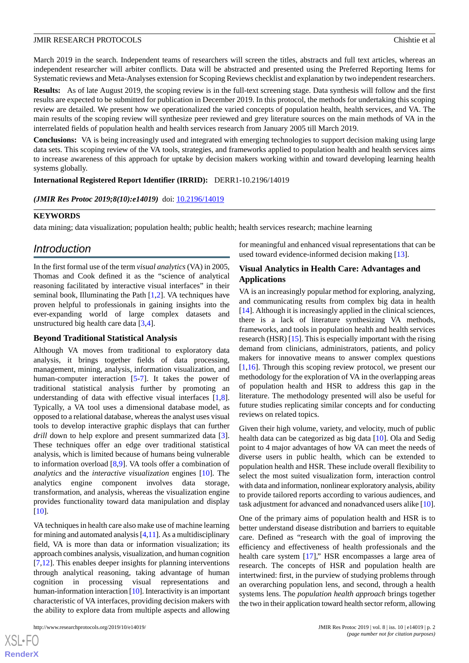March 2019 in the search. Independent teams of researchers will screen the titles, abstracts and full text articles, whereas an independent researcher will arbiter conflicts. Data will be abstracted and presented using the Preferred Reporting Items for Systematic reviews and Meta-Analyses extension for Scoping Reviews checklist and explanation by two independent researchers.

**Results:** As of late August 2019, the scoping review is in the full-text screening stage. Data synthesis will follow and the first results are expected to be submitted for publication in December 2019. In this protocol, the methods for undertaking this scoping review are detailed. We present how we operationalized the varied concepts of population health, health services, and VA. The main results of the scoping review will synthesize peer reviewed and grey literature sources on the main methods of VA in the interrelated fields of population health and health services research from January 2005 till March 2019.

**Conclusions:** VA is being increasingly used and integrated with emerging technologies to support decision making using large data sets. This scoping review of the VA tools, strategies, and frameworks applied to population health and health services aims to increase awareness of this approach for uptake by decision makers working within and toward developing learning health systems globally.

**International Registered Report Identifier (IRRID):** DERR1-10.2196/14019

(JMIR Res Protoc 2019;8(10):e14019) doi: [10.2196/14019](http://dx.doi.org/10.2196/14019)

#### **KEYWORDS**

data mining; data visualization; population health; public health; health services research; machine learning

## *Introduction*

In the first formal use of the term *visual analytics* (VA) in 2005, Thomas and Cook defined it as the "science of analytical reasoning facilitated by interactive visual interfaces" in their seminal book, Illuminating the Path [\[1](#page-7-0),[2\]](#page-7-1). VA techniques have proven helpful to professionals in gaining insights into the ever-expanding world of large complex datasets and unstructured big health care data [[3](#page-7-2)[,4](#page-7-3)].

## **Beyond Traditional Statistical Analysis**

Although VA moves from traditional to exploratory data analysis, it brings together fields of data processing, management, mining, analysis, information visualization, and human-computer interaction [\[5](#page-7-4)-[7\]](#page-7-5). It takes the power of traditional statistical analysis further by promoting an understanding of data with effective visual interfaces [\[1](#page-7-0),[8\]](#page-7-6). Typically, a VA tool uses a dimensional database model, as opposed to a relational database, whereas the analyst uses visual tools to develop interactive graphic displays that can further *drill* down to help explore and present summarized data [[3\]](#page-7-2). These techniques offer an edge over traditional statistical analysis, which is limited because of humans being vulnerable to information overload [\[8](#page-7-6),[9\]](#page-7-7). VA tools offer a combination of *analytics* and the *interactive visualization* engines [\[10](#page-7-8)]. The analytics engine component involves data storage, transformation, and analysis, whereas the visualization engine provides functionality toward data manipulation and display [[10\]](#page-7-8).

VA techniques in health care also make use of machine learning for mining and automated analysis  $[4,11]$  $[4,11]$  $[4,11]$ . As a multidisciplinary field, VA is more than data or information visualization; its approach combines analysis, visualization, and human cognition [[7](#page-7-5)[,12](#page-7-10)]. This enables deeper insights for planning interventions through analytical reasoning, taking advantage of human cognition in processing visual representations and human-information interaction [\[10](#page-7-8)]. Interactivity is an important characteristic of VA interfaces, providing decision makers with the ability to explore data from multiple aspects and allowing

for meaningful and enhanced visual representations that can be used toward evidence-informed decision making [[13\]](#page-7-11).

## **Visual Analytics in Health Care: Advantages and Applications**

VA is an increasingly popular method for exploring, analyzing, and communicating results from complex big data in health [[14\]](#page-7-12). Although it is increasingly applied in the clinical sciences, there is a lack of literature synthesizing VA methods, frameworks, and tools in population health and health services research (HSR) [[15](#page-7-13)]. This is especially important with the rising demand from clinicians, administrators, patients, and policy makers for innovative means to answer complex questions [[1](#page-7-0)[,16](#page-7-14)]. Through this scoping review protocol, we present our methodology for the exploration of VA in the overlapping areas of population health and HSR to address this gap in the literature. The methodology presented will also be useful for future studies replicating similar concepts and for conducting reviews on related topics.

Given their high volume, variety, and velocity, much of public health data can be categorized as big data [\[10](#page-7-8)]. Ola and Sedig point to 4 major advantages of how VA can meet the needs of diverse users in public health, which can be extended to population health and HSR. These include overall flexibility to select the most suited visualization form, interaction control with data and information, nonlinear exploratory analysis, ability to provide tailored reports according to various audiences, and task adjustment for advanced and nonadvanced users alike [\[10\]](#page-7-8).

One of the primary aims of population health and HSR is to better understand disease distribution and barriers to equitable care. Defined as "research with the goal of improving the efficiency and effectiveness of health professionals and the health care system [[17\]](#page-7-15)," HSR encompasses a large area of research. The concepts of HSR and population health are intertwined: first, in the purview of studying problems through an overarching population lens, and second, through a health systems lens. The *population health approach* brings together the two in their application toward health sector reform, allowing

 $XS$ -FO **[RenderX](http://www.renderx.com/)**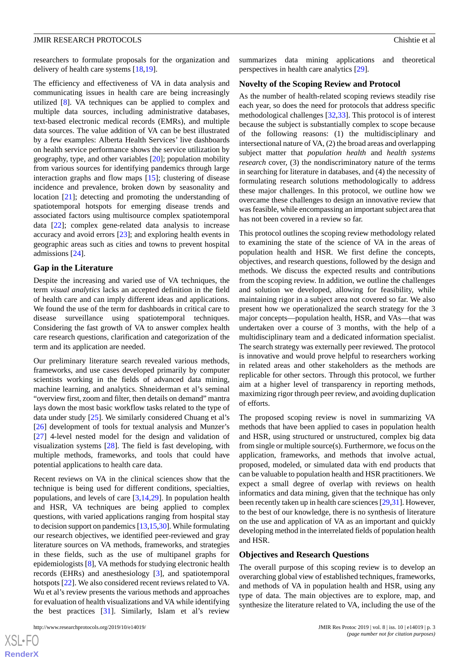researchers to formulate proposals for the organization and delivery of health care systems [[18](#page-7-16)[,19](#page-7-17)].

The efficiency and effectiveness of VA in data analysis and communicating issues in health care are being increasingly utilized [\[8](#page-7-6)]. VA techniques can be applied to complex and multiple data sources, including administrative databases, text-based electronic medical records (EMRs), and multiple data sources. The value addition of VA can be best illustrated by a few examples: Alberta Health Services' live dashboards on health service performance shows the service utilization by geography, type, and other variables [[20\]](#page-7-18); population mobility from various sources for identifying pandemics through large interaction graphs and flow maps [[15\]](#page-7-13); clustering of disease incidence and prevalence, broken down by seasonality and location [[21\]](#page-7-19); detecting and promoting the understanding of spatiotemporal hotspots for emerging disease trends and associated factors using multisource complex spatiotemporal data [\[22](#page-8-0)]; complex gene-related data analysis to increase accuracy and avoid errors [[23\]](#page-8-1); and exploring health events in geographic areas such as cities and towns to prevent hospital admissions [[24\]](#page-8-2).

#### **Gap in the Literature**

Despite the increasing and varied use of VA techniques, the term *visual analytics* lacks an accepted definition in the field of health care and can imply different ideas and applications. We found the use of the term for dashboards in critical care to disease surveillance using spatiotemporal techniques. Considering the fast growth of VA to answer complex health care research questions, clarification and categorization of the term and its application are needed.

Our preliminary literature search revealed various methods, frameworks, and use cases developed primarily by computer scientists working in the fields of advanced data mining, machine learning, and analytics. Shneiderman et al's seminal "overview first, zoom and filter, then details on demand" mantra lays down the most basic workflow tasks related to the type of data under study [\[25](#page-8-3)]. We similarly considered Chuang et al's [[26\]](#page-8-4) development of tools for textual analysis and Munzer's [[27\]](#page-8-5) 4-level nested model for the design and validation of visualization systems [[28\]](#page-8-6). The field is fast developing, with multiple methods, frameworks, and tools that could have potential applications to health care data.

Recent reviews on VA in the clinical sciences show that the technique is being used for different conditions, specialties, populations, and levels of care [[3,](#page-7-2)[14](#page-7-12),[29\]](#page-8-7). In population health and HSR, VA techniques are being applied to complex questions, with varied applications ranging from hospital stay to decision support on pandemics [\[13](#page-7-11),[15](#page-7-13),[30\]](#page-8-8). While formulating our research objectives, we identified peer-reviewed and gray literature sources on VA methods, frameworks, and strategies in these fields, such as the use of multipanel graphs for epidemiologists [\[8](#page-7-6)], VA methods for studying electronic health records (EHRs) and anesthesiology [[3\]](#page-7-2), and spatiotemporal hotspots [\[22](#page-8-0)]. We also considered recent reviews related to VA. Wu et al's review presents the various methods and approaches for evaluation of health visualizations and VA while identifying the best practices [\[31](#page-8-9)]. Similarly, Islam et al's review

summarizes data mining applications and theoretical perspectives in health care analytics [[29\]](#page-8-7).

#### **Novelty of the Scoping Review and Protocol**

As the number of health-related scoping reviews steadily rise each year, so does the need for protocols that address specific methodological challenges [\[32](#page-8-10),[33\]](#page-8-11). This protocol is of interest because the subject is substantially complex to scope because of the following reasons: (1) the multidisciplinary and intersectional nature of VA, (2) the broad areas and overlapping subject matter that *population health* and *health systems research* cover, (3) the nondiscriminatory nature of the terms in searching for literature in databases, and (4) the necessity of formulating research solutions methodologically to address these major challenges. In this protocol, we outline how we overcame these challenges to design an innovative review that was feasible, while encompassing an important subject area that has not been covered in a review so far.

This protocol outlines the scoping review methodology related to examining the state of the science of VA in the areas of population health and HSR. We first define the concepts, objectives, and research questions, followed by the design and methods. We discuss the expected results and contributions from the scoping review. In addition, we outline the challenges and solution we developed, allowing for feasibility, while maintaining rigor in a subject area not covered so far. We also present how we operationalized the search strategy for the 3 major concepts—population health, HSR, and VAs—that was undertaken over a course of 3 months, with the help of a multidisciplinary team and a dedicated information specialist. The search strategy was externally peer reviewed. The protocol is innovative and would prove helpful to researchers working in related areas and other stakeholders as the methods are replicable for other sectors. Through this protocol, we further aim at a higher level of transparency in reporting methods, maximizing rigor through peer review, and avoiding duplication of efforts.

The proposed scoping review is novel in summarizing VA methods that have been applied to cases in population health and HSR, using structured or unstructured, complex big data from single or multiple source(s). Furthermore, we focus on the application, frameworks, and methods that involve actual, proposed, modeled, or simulated data with end products that can be valuable to population health and HSR practitioners. We expect a small degree of overlap with reviews on health informatics and data mining, given that the technique has only been recently taken up in health care sciences [\[29](#page-8-7),[31](#page-8-9)]. However, to the best of our knowledge, there is no synthesis of literature on the use and application of VA as an important and quickly developing method in the interrelated fields of population health and HSR.

### **Objectives and Research Questions**

The overall purpose of this scoping review is to develop an overarching global view of established techniques, frameworks, and methods of VA in population health and HSR, using any type of data. The main objectives are to explore, map, and synthesize the literature related to VA, including the use of the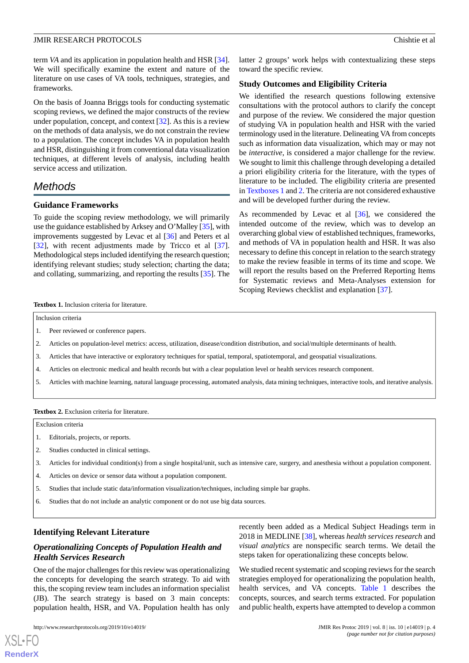latter 2 groups' work helps with contextualizing these steps

We identified the research questions following extensive consultations with the protocol authors to clarify the concept and purpose of the review. We considered the major question of studying VA in population health and HSR with the varied terminology used in the literature. Delineating VA from concepts such as information data visualization, which may or may not be *interactive*, is considered a major challenge for the review. We sought to limit this challenge through developing a detailed a priori eligibility criteria for the literature, with the types of literature to be included. The eligibility criteria are presented in [Textboxes 1](#page-3-0) and [2](#page-3-1). The criteria are not considered exhaustive

As recommended by Levac et al [\[36](#page-8-14)], we considered the intended outcome of the review, which was to develop an overarching global view of established techniques, frameworks, and methods of VA in population health and HSR. It was also necessary to define this concept in relation to the search strategy to make the review feasible in terms of its time and scope. We will report the results based on the Preferred Reporting Items for Systematic reviews and Meta-Analyses extension for

**Study Outcomes and Eligibility Criteria**

and will be developed further during the review.

Scoping Reviews checklist and explanation [[37\]](#page-8-15).

toward the specific review.

term *VA* and its application in population health and HSR [[34\]](#page-8-12). We will specifically examine the extent and nature of the literature on use cases of VA tools, techniques, strategies, and frameworks.

On the basis of Joanna Briggs tools for conducting systematic scoping reviews, we defined the major constructs of the review under population, concept, and context [[32\]](#page-8-10). As this is a review on the methods of data analysis, we do not constrain the review to a population. The concept includes VA in population health and HSR, distinguishing it from conventional data visualization techniques, at different levels of analysis, including health service access and utilization.

# *Methods*

## **Guidance Frameworks**

To guide the scoping review methodology, we will primarily use the guidance established by Arksey and O'Malley [\[35](#page-8-13)], with improvements suggested by Levac et al [\[36](#page-8-14)] and Peters et al [[32\]](#page-8-10), with recent adjustments made by Tricco et al [[37\]](#page-8-15). Methodological steps included identifying the research question; identifying relevant studies; study selection; charting the data; and collating, summarizing, and reporting the results [[35\]](#page-8-13). The

<span id="page-3-0"></span>**Textbox 1.** Inclusion criteria for literature.

Inclusion criteria

- 1. Peer reviewed or conference papers.
- 2. Articles on population-level metrics: access, utilization, disease/condition distribution, and social/multiple determinants of health.
- 3. Articles that have interactive or exploratory techniques for spatial, temporal, spatiotemporal, and geospatial visualizations.
- <span id="page-3-1"></span>4. Articles on electronic medical and health records but with a clear population level or health services research component.
- 5. Articles with machine learning, natural language processing, automated analysis, data mining techniques, interactive tools, and iterative analysis.

**Textbox 2.** Exclusion criteria for literature.

Exclusion criteria

- 1. Editorials, projects, or reports.
- 2. Studies conducted in clinical settings.
- 3. Articles for individual condition(s) from a single hospital/unit, such as intensive care, surgery, and anesthesia without a population component.
- 4. Articles on device or sensor data without a population component.
- 5. Studies that include static data/information visualization/techniques, including simple bar graphs.
- 6. Studies that do not include an analytic component or do not use big data sources.

## **Identifying Relevant Literature**

## *Operationalizing Concepts of Population Health and Health Services Research*

One of the major challenges for this review was operationalizing the concepts for developing the search strategy. To aid with this, the scoping review team includes an information specialist (JB). The search strategy is based on 3 main concepts: population health, HSR, and VA. Population health has only

recently been added as a Medical Subject Headings term in 2018 in MEDLINE [[38\]](#page-8-16), whereas *health services research* and *visual analytics* are nonspecific search terms. We detail the steps taken for operationalizing these concepts below.

We studied recent systematic and scoping reviews for the search strategies employed for operationalizing the population health, health services, and VA concepts. [Table 1](#page-4-0) describes the concepts, sources, and search terms extracted. For population and public health, experts have attempted to develop a common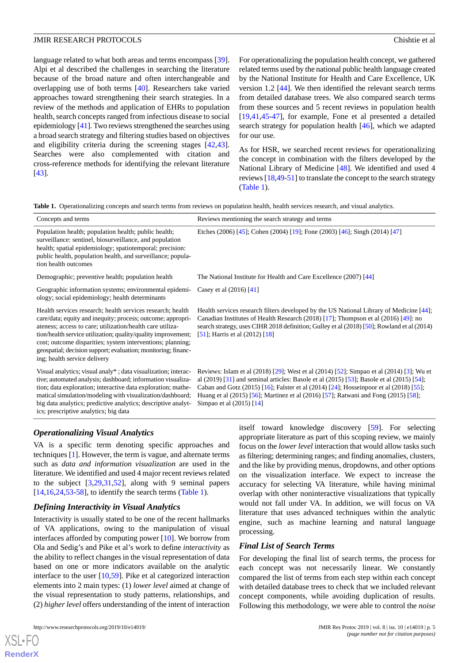language related to what both areas and terms encompass [[39\]](#page-8-17). Alpi et al described the challenges in searching the literature because of the broad nature and often interchangeable and overlapping use of both terms [\[40](#page-8-18)]. Researchers take varied approaches toward strengthening their search strategies. In a review of the methods and application of EHRs to population health, search concepts ranged from infectious disease to social epidemiology [[41](#page-8-19)]. Two reviews strengthened the searches using a broad search strategy and filtering studies based on objectives and eligibility criteria during the screening stages [\[42](#page-8-20),[43\]](#page-8-21). Searches were also complemented with citation and cross-reference methods for identifying the relevant literature [[43\]](#page-8-21).

For operationalizing the population health concept, we gathered related terms used by the national public health language created by the National Institute for Health and Care Excellence, UK version 1.2 [[44\]](#page-8-22). We then identified the relevant search terms from detailed database trees. We also compared search terms from these sources and 5 recent reviews in population health [[19,](#page-7-17)[41,](#page-8-19)[45](#page-9-0)[-47](#page-9-1)], for example, Fone et al presented a detailed search strategy for population health [[46\]](#page-9-2), which we adapted for our use.

As for HSR, we searched recent reviews for operationalizing the concept in combination with the filters developed by the National Library of Medicine [\[48](#page-9-3)]. We identified and used 4 reviews [\[18](#page-7-16)[,49](#page-9-4)[-51](#page-9-5)] to translate the concept to the search strategy ([Table 1](#page-4-0)).

<span id="page-4-0"></span>**Table 1.** Operationalizing concepts and search terms from reviews on population health, health services research, and visual analytics.

| Concepts and terms                                                                                                                                                                                                                                                                                                                                                                                                     | Reviews mentioning the search strategy and terms                                                                                                                                                                                                                                                                                                                                                |
|------------------------------------------------------------------------------------------------------------------------------------------------------------------------------------------------------------------------------------------------------------------------------------------------------------------------------------------------------------------------------------------------------------------------|-------------------------------------------------------------------------------------------------------------------------------------------------------------------------------------------------------------------------------------------------------------------------------------------------------------------------------------------------------------------------------------------------|
| Population health; population health; public health;<br>surveillance: sentinel, biosurveillance, and population<br>health; spatial epidemiology; spatiotemporal; precision:<br>public health, population health, and surveillance; popula-<br>tion health outcomes                                                                                                                                                     | Etches (2006) [45]; Cohen (2004) [19]; Fone (2003) [46]; Singh (2014) [47]                                                                                                                                                                                                                                                                                                                      |
| Demographic; preventive health; population health                                                                                                                                                                                                                                                                                                                                                                      | The National Institute for Health and Care Excellence (2007) [44]                                                                                                                                                                                                                                                                                                                               |
| Geographic information systems; environmental epidemi-<br>ology; social epidemiology; health determinants                                                                                                                                                                                                                                                                                                              | Casey et al (2016) [41]                                                                                                                                                                                                                                                                                                                                                                         |
| Health services research; health services research; health<br>care/data; equity and inequity; process; outcome; appropri-<br>ateness; access to care; utilization/health care utiliza-<br>tion/health service utilization; quality/quality improvement;<br>cost; outcome disparities; system interventions; planning;<br>geospatial; decision support; evaluation; monitoring; financ-<br>ing; health service delivery | Health services research filters developed by the US National Library of Medicine [44];<br>Canadian Institutes of Health Research (2018) [17]; Thompson et al (2016) [49]: no<br>search strategy, uses CIHR 2018 definition; Gulley et al (2018) [50]; Rowland et al (2014)<br>[51]; Harris et al $(2012)$ [18]                                                                                 |
| Visual analytics; visual analy*; data visualization; interac-<br>tive; automated analysis; dashboard; information visualiza-<br>tion; data exploration; interactive data exploration; mathe-<br>matical simulation/modeling with visualization/dashboard;<br>big data analytics; predictive analytics; descriptive analyt-<br>ics; prescriptive analytics; big data                                                    | Reviews: Islam et al (2018) [29]; West et al (2014) [52]; Simpao et al (2014) [3]; Wu et<br>al (2019) [31] and seminal articles: Basole et al (2015) [53]; Basole et al (2015) [54];<br>Caban and Gotz (2015) [16]; Falster et al (2014) [24]; Hosseinpoor et al (2018) [55];<br>Huang et al (2015) [56]; Martinez et al (2016) [57]; Ratwani and Fong (2015) [58];<br>Simpao et al (2015) [14] |

## *Operationalizing Visual Analytics*

VA is a specific term denoting specific approaches and techniques [[1\]](#page-7-0). However, the term is vague, and alternate terms such as *data and information visualization* are used in the literature. We identified and used 4 major recent reviews related to the subject [[3](#page-7-2)[,29](#page-8-7),[31](#page-8-9)[,52](#page-9-7)], along with 9 seminal papers  $[14,16,24,53,58]$  $[14,16,24,53,58]$  $[14,16,24,53,58]$  $[14,16,24,53,58]$  $[14,16,24,53,58]$  $[14,16,24,53,58]$  $[14,16,24,53,58]$  $[14,16,24,53,58]$ , to identify the search terms ([Table 1](#page-4-0)).

## *Defining Interactivity in Visual Analytics*

Interactivity is usually stated to be one of the recent hallmarks of VA applications, owing to the manipulation of visual interfaces afforded by computing power [[10\]](#page-7-8). We borrow from Ola and Sedig's and Pike et al's work to define *interactivity* as the ability to reflect changes in the visual representation of data based on one or more indicators available on the analytic interface to the user [\[10](#page-7-8)[,59](#page-9-14)]. Pike et al categorized interaction elements into 2 main types: (1) *lower level* aimed at change of the visual representation to study patterns, relationships, and (2) *higher level* offers understanding of the intent of interaction

itself toward knowledge discovery [[59\]](#page-9-14). For selecting appropriate literature as part of this scoping review, we mainly focus on the *lower level*interaction that would allow tasks such as filtering; determining ranges; and finding anomalies, clusters, and the like by providing menus, dropdowns, and other options on the visualization interface. We expect to increase the accuracy for selecting VA literature, while having minimal overlap with other noninteractive visualizations that typically would not fall under VA. In addition, we will focus on VA literature that uses advanced techniques within the analytic engine, such as machine learning and natural language processing.

## *Final List of Search Terms*

For developing the final list of search terms, the process for each concept was not necessarily linear. We constantly compared the list of terms from each step within each concept with detailed database trees to check that we included relevant concept components, while avoiding duplication of results. Following this methodology, we were able to control the *noise*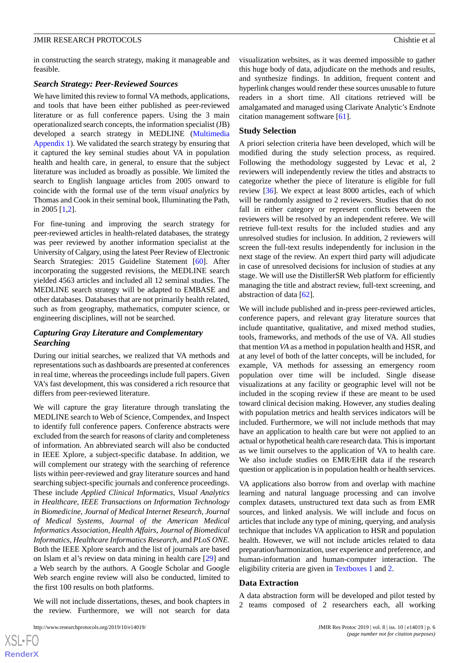in constructing the search strategy, making it manageable and feasible.

### *Search Strategy: Peer-Reviewed Sources*

We have limited this review to formal VA methods, applications, and tools that have been either published as peer-reviewed literature or as full conference papers. Using the 3 main operationalized search concepts, the information specialist (JB) developed a search strategy in MEDLINE ([Multimedia](#page-7-20) [Appendix 1](#page-7-20)). We validated the search strategy by ensuring that it captured the key seminal studies about VA in population health and health care, in general, to ensure that the subject literature was included as broadly as possible. We limited the search to English language articles from 2005 onward to coincide with the formal use of the term *visual analytics* by Thomas and Cook in their seminal book, Illuminating the Path, in 2005 [[1,](#page-7-0)[2](#page-7-1)].

For fine-tuning and improving the search strategy for peer-reviewed articles in health-related databases, the strategy was peer reviewed by another information specialist at the University of Calgary, using the latest Peer Review of Electronic Search Strategies: 2015 Guideline Statement [\[60](#page-9-15)]. After incorporating the suggested revisions, the MEDLINE search yielded 4563 articles and included all 12 seminal studies. The MEDLINE search strategy will be adapted to EMBASE and other databases. Databases that are not primarily health related, such as from geography, mathematics, computer science, or engineering disciplines, will not be searched.

## *Capturing Gray Literature and Complementary Searching*

During our initial searches, we realized that VA methods and representations such as dashboards are presented at conferences in real time, whereas the proceedings include full papers. Given VA's fast development, this was considered a rich resource that differs from peer-reviewed literature.

We will capture the gray literature through translating the MEDLINE search to Web of Science, Compendex, and Inspect to identify full conference papers. Conference abstracts were excluded from the search for reasons of clarity and completeness of information. An abbreviated search will also be conducted in IEEE Xplore, a subject-specific database. In addition, we will complement our strategy with the searching of reference lists within peer-reviewed and gray literature sources and hand searching subject-specific journals and conference proceedings. These include *Applied Clinical Informatics*, *Visual Analytics in Healthcare*, *IEEE Transactions on Information Technology in Biomedicine*, *Journal of Medical Internet Research*, *Journal of Medical Systems*, *Journal of the American Medical Informatics Association*, *Health Affairs*, *Journal of Biomedical Informatics*, *Healthcare Informatics Research*, and *PLoS ONE*. Both the IEEE Xplore search and the list of journals are based on Islam et al's review on data mining in health care [\[29](#page-8-7)] and a Web search by the authors. A Google Scholar and Google Web search engine review will also be conducted, limited to the first 100 results on both platforms.

We will not include dissertations, theses, and book chapters in the review. Furthermore, we will not search for data

visualization websites, as it was deemed impossible to gather this huge body of data, adjudicate on the methods and results, and synthesize findings. In addition, frequent content and hyperlink changes would render these sources unusable to future readers in a short time. All citations retrieved will be amalgamated and managed using Clarivate Analytic's Endnote citation management software [[61\]](#page-9-16).

#### **Study Selection**

A priori selection criteria have been developed, which will be modified during the study selection process, as required. Following the methodology suggested by Levac et al, 2 reviewers will independently review the titles and abstracts to categorize whether the piece of literature is eligible for full review [\[36](#page-8-14)]. We expect at least 8000 articles, each of which will be randomly assigned to 2 reviewers. Studies that do not fall in either category or represent conflicts between the reviewers will be resolved by an independent referee. We will retrieve full-text results for the included studies and any unresolved studies for inclusion. In addition, 2 reviewers will screen the full-text results independently for inclusion in the next stage of the review. An expert third party will adjudicate in case of unresolved decisions for inclusion of studies at any stage. We will use the DistillerSR Web platform for efficiently managing the title and abstract review, full-text screening, and abstraction of data [\[62](#page-9-17)].

We will include published and in-press peer-reviewed articles, conference papers, and relevant gray literature sources that include quantitative, qualitative, and mixed method studies, tools, frameworks, and methods of the use of VA. All studies that mention *VA* as a method in population health and HSR, and at any level of both of the latter concepts, will be included, for example, VA methods for assessing an emergency room population over time will be included. Single disease visualizations at any facility or geographic level will not be included in the scoping review if these are meant to be used toward clinical decision making. However, any studies dealing with population metrics and health services indicators will be included. Furthermore, we will not include methods that may have an application to health care but were not applied to an actual or hypothetical health care research data. This is important as we limit ourselves to the application of VA to health care. We also include studies on EMR/EHR data if the research question or application is in population health or health services.

VA applications also borrow from and overlap with machine learning and natural language processing and can involve complex datasets, unstructured text data such as from EMR sources, and linked analysis. We will include and focus on articles that include any type of mining, querying, and analysis technique that includes VA application to HSR and population health. However, we will not include articles related to data preparation/harmonization, user experience and preference, and human-information and human-computer interaction. The eligibility criteria are given in [Textboxes 1](#page-3-0) and [2.](#page-3-1)

#### **Data Extraction**

A data abstraction form will be developed and pilot tested by 2 teams composed of 2 researchers each, all working

 $XS$ -FO **[RenderX](http://www.renderx.com/)**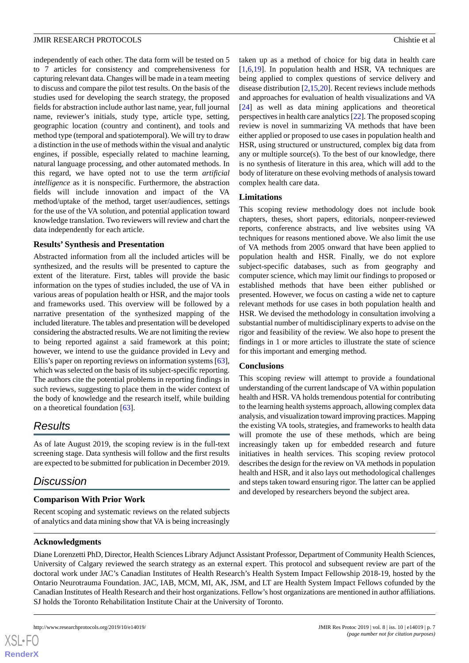independently of each other. The data form will be tested on 5 to 7 articles for consistency and comprehensiveness for capturing relevant data. Changes will be made in a team meeting to discuss and compare the pilot test results. On the basis of the studies used for developing the search strategy, the proposed fields for abstraction include author last name, year, full journal name, reviewer's initials, study type, article type, setting, geographic location (country and continent), and tools and method type (temporal and spatiotemporal). We will try to draw a distinction in the use of methods within the visual and analytic engines, if possible, especially related to machine learning, natural language processing, and other automated methods. In this regard, we have opted not to use the term *artificial intelligence* as it is nonspecific. Furthermore, the abstraction fields will include innovation and impact of the VA method/uptake of the method, target user/audiences, settings for the use of the VA solution, and potential application toward knowledge translation. Two reviewers will review and chart the data independently for each article.

#### **Results' Synthesis and Presentation**

Abstracted information from all the included articles will be synthesized, and the results will be presented to capture the extent of the literature. First, tables will provide the basic information on the types of studies included, the use of VA in various areas of population health or HSR, and the major tools and frameworks used. This overview will be followed by a narrative presentation of the synthesized mapping of the included literature. The tables and presentation will be developed considering the abstracted results. We are not limiting the review to being reported against a said framework at this point; however, we intend to use the guidance provided in Levy and Ellis's paper on reporting reviews on information systems [[63\]](#page-9-18), which was selected on the basis of its subject-specific reporting. The authors cite the potential problems in reporting findings in such reviews, suggesting to place them in the wider context of the body of knowledge and the research itself, while building on a theoretical foundation [[63\]](#page-9-18).

## *Results*

As of late August 2019, the scoping review is in the full-text screening stage. Data synthesis will follow and the first results are expected to be submitted for publication in December 2019.

## *Discussion*

## **Comparison With Prior Work**

Recent scoping and systematic reviews on the related subjects of analytics and data mining show that VA is being increasingly

taken up as a method of choice for big data in health care [[1](#page-7-0)[,6,](#page-7-21)[19\]](#page-7-17). In population health and HSR, VA techniques are being applied to complex questions of service delivery and disease distribution  $[2,15,20]$  $[2,15,20]$  $[2,15,20]$  $[2,15,20]$  $[2,15,20]$ . Recent reviews include methods and approaches for evaluation of health visualizations and VA [[24\]](#page-8-2) as well as data mining applications and theoretical perspectives in health care analytics [[22\]](#page-8-0). The proposed scoping review is novel in summarizing VA methods that have been either applied or proposed to use cases in population health and HSR, using structured or unstructured, complex big data from any or multiple source(s). To the best of our knowledge, there is no synthesis of literature in this area, which will add to the body of literature on these evolving methods of analysis toward complex health care data.

## **Limitations**

This scoping review methodology does not include book chapters, theses, short papers, editorials, nonpeer-reviewed reports, conference abstracts, and live websites using VA techniques for reasons mentioned above. We also limit the use of VA methods from 2005 onward that have been applied to population health and HSR. Finally, we do not explore subject-specific databases, such as from geography and computer science, which may limit our findings to proposed or established methods that have been either published or presented. However, we focus on casting a wide net to capture relevant methods for use cases in both population health and HSR. We devised the methodology in consultation involving a substantial number of multidisciplinary experts to advise on the rigor and feasibility of the review. We also hope to present the findings in 1 or more articles to illustrate the state of science for this important and emerging method.

## **Conclusions**

This scoping review will attempt to provide a foundational understanding of the current landscape of VA within population health and HSR. VA holds tremendous potential for contributing to the learning health systems approach, allowing complex data analysis, and visualization toward improving practices. Mapping the existing VA tools, strategies, and frameworks to health data will promote the use of these methods, which are being increasingly taken up for embedded research and future initiatives in health services. This scoping review protocol describes the design for the review on VA methods in population health and HSR, and it also lays out methodological challenges and steps taken toward ensuring rigor. The latter can be applied and developed by researchers beyond the subject area.

## **Acknowledgments**

[XSL](http://www.w3.org/Style/XSL)•FO **[RenderX](http://www.renderx.com/)**

Diane Lorenzetti PhD, Director, Health Sciences Library Adjunct Assistant Professor, Department of Community Health Sciences, University of Calgary reviewed the search strategy as an external expert. This protocol and subsequent review are part of the doctoral work under JAC's Canadian Institutes of Health Research's Health System Impact Fellowship 2018-19, hosted by the Ontario Neurotrauma Foundation. JAC, IAB, MCM, MI, AK, JSM, and LT are Health System Impact Fellows cofunded by the Canadian Institutes of Health Research and their host organizations. Fellow's host organizations are mentioned in author affiliations. SJ holds the Toronto Rehabilitation Institute Chair at the University of Toronto.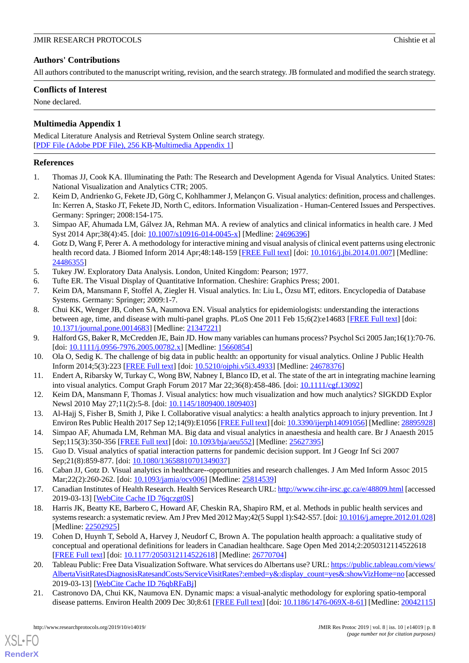## **Authors' Contributions**

All authors contributed to the manuscript writing, revision, and the search strategy. JB formulated and modified the search strategy.

## **Conflicts of Interest**

<span id="page-7-20"></span>None declared.

## **Multimedia Appendix 1**

Medical Literature Analysis and Retrieval System Online search strategy. [[PDF File \(Adobe PDF File\), 256 KB](https://jmir.org/api/download?alt_name=resprot_v8i10e14019_app1.pdf&filename=5dda652fa8d3572c48a9460c4ae3b959.pdf)-[Multimedia Appendix 1\]](https://jmir.org/api/download?alt_name=resprot_v8i10e14019_app1.pdf&filename=5dda652fa8d3572c48a9460c4ae3b959.pdf)

## <span id="page-7-0"></span>**References**

- <span id="page-7-1"></span>1. Thomas JJ, Cook KA. Illuminating the Path: The Research and Development Agenda for Visual Analytics. United States: National Visualization and Analytics CTR; 2005.
- <span id="page-7-2"></span>2. Keim D, Andrienko G, Fekete JD, Görg C, Kohlhammer J, Melançon G. Visual analytics: definition, process and challenges. In: Kerren A, Stasko JT, Fekete JD, North C, editors. Information Visualization - Human-Centered Issues and Perspectives. Germany: Springer; 2008:154-175.
- <span id="page-7-3"></span>3. Simpao AF, Ahumada LM, Gálvez JA, Rehman MA. A review of analytics and clinical informatics in health care. J Med Syst 2014 Apr;38(4):45. [doi: [10.1007/s10916-014-0045-x](http://dx.doi.org/10.1007/s10916-014-0045-x)] [Medline: [24696396\]](http://www.ncbi.nlm.nih.gov/entrez/query.fcgi?cmd=Retrieve&db=PubMed&list_uids=24696396&dopt=Abstract)
- <span id="page-7-21"></span><span id="page-7-4"></span>4. Gotz D, Wang F, Perer A. A methodology for interactive mining and visual analysis of clinical event patterns using electronic health record data. J Biomed Inform 2014 Apr;48:148-159 [[FREE Full text](https://linkinghub.elsevier.com/retrieve/pii/S1532-0464(14)00009-4)] [doi: [10.1016/j.jbi.2014.01.007](http://dx.doi.org/10.1016/j.jbi.2014.01.007)] [Medline: [24486355](http://www.ncbi.nlm.nih.gov/entrez/query.fcgi?cmd=Retrieve&db=PubMed&list_uids=24486355&dopt=Abstract)]
- <span id="page-7-5"></span>5. Tukey JW. Exploratory Data Analysis. London, United Kingdom: Pearson; 1977.
- <span id="page-7-6"></span>6. Tufte ER. The Visual Display of Quantitative Information. Cheshire: Graphics Press; 2001.
- 7. Keim DA, Mansmann F, Stoffel A, Ziegler H. Visual analytics. In: Liu L, Özsu MT, editors. Encyclopedia of Database Systems. Germany: Springer; 2009:1-7.
- <span id="page-7-8"></span><span id="page-7-7"></span>8. Chui KK, Wenger JB, Cohen SA, Naumova EN. Visual analytics for epidemiologists: understanding the interactions between age, time, and disease with multi-panel graphs. PLoS One 2011 Feb 15;6(2):e14683 [\[FREE Full text\]](http://dx.plos.org/10.1371/journal.pone.0014683) [doi: [10.1371/journal.pone.0014683\]](http://dx.doi.org/10.1371/journal.pone.0014683) [Medline: [21347221](http://www.ncbi.nlm.nih.gov/entrez/query.fcgi?cmd=Retrieve&db=PubMed&list_uids=21347221&dopt=Abstract)]
- <span id="page-7-9"></span>9. Halford GS, Baker R, McCredden JE, Bain JD. How many variables can humans process? Psychol Sci 2005 Jan;16(1):70-76. [doi: [10.1111/j.0956-7976.2005.00782.x](http://dx.doi.org/10.1111/j.0956-7976.2005.00782.x)] [Medline: [15660854](http://www.ncbi.nlm.nih.gov/entrez/query.fcgi?cmd=Retrieve&db=PubMed&list_uids=15660854&dopt=Abstract)]
- <span id="page-7-10"></span>10. Ola O, Sedig K. The challenge of big data in public health: an opportunity for visual analytics. Online J Public Health Inform 2014;5(3):223 [[FREE Full text](http://europepmc.org/abstract/MED/24678376)] [doi: [10.5210/ojphi.v5i3.4933](http://dx.doi.org/10.5210/ojphi.v5i3.4933)] [Medline: [24678376\]](http://www.ncbi.nlm.nih.gov/entrez/query.fcgi?cmd=Retrieve&db=PubMed&list_uids=24678376&dopt=Abstract)
- <span id="page-7-11"></span>11. Endert A, Ribarsky W, Turkay C, Wong BW, Nabney I, Blanco ID, et al. The state of the art in integrating machine learning into visual analytics. Comput Graph Forum 2017 Mar 22;36(8):458-486. [doi: [10.1111/cgf.13092\]](http://dx.doi.org/10.1111/cgf.13092)
- <span id="page-7-12"></span>12. Keim DA, Mansmann F, Thomas J. Visual analytics: how much visualization and how much analytics? SIGKDD Explor Newsl 2010 May 27;11(2):5-8. [doi: [10.1145/1809400.1809403](http://dx.doi.org/10.1145/1809400.1809403)]
- <span id="page-7-13"></span>13. Al-Hajj S, Fisher B, Smith J, Pike I. Collaborative visual analytics: a health analytics approach to injury prevention. Int J Environ Res Public Health 2017 Sep 12;14(9):E1056 [[FREE Full text](http://www.mdpi.com/resolver?pii=ijerph14091056)] [doi: [10.3390/ijerph14091056](http://dx.doi.org/10.3390/ijerph14091056)] [Medline: [28895928\]](http://www.ncbi.nlm.nih.gov/entrez/query.fcgi?cmd=Retrieve&db=PubMed&list_uids=28895928&dopt=Abstract)
- <span id="page-7-15"></span><span id="page-7-14"></span>14. Simpao AF, Ahumada LM, Rehman MA. Big data and visual analytics in anaesthesia and health care. Br J Anaesth 2015 Sep;115(3):350-356 [[FREE Full text](https://linkinghub.elsevier.com/retrieve/pii/S0007-0912(17)31147-9)] [doi: [10.1093/bja/aeu552\]](http://dx.doi.org/10.1093/bja/aeu552) [Medline: [25627395\]](http://www.ncbi.nlm.nih.gov/entrez/query.fcgi?cmd=Retrieve&db=PubMed&list_uids=25627395&dopt=Abstract)
- <span id="page-7-16"></span>15. Guo D. Visual analytics of spatial interaction patterns for pandemic decision support. Int J Geogr Inf Sci 2007 Sep;21(8):859-877. [doi: [10.1080/13658810701349037\]](http://dx.doi.org/10.1080/13658810701349037)
- 16. Caban JJ, Gotz D. Visual analytics in healthcare--opportunities and research challenges. J Am Med Inform Assoc 2015 Mar;22(2):260-262. [doi: [10.1093/jamia/ocv006\]](http://dx.doi.org/10.1093/jamia/ocv006) [Medline: [25814539\]](http://www.ncbi.nlm.nih.gov/entrez/query.fcgi?cmd=Retrieve&db=PubMed&list_uids=25814539&dopt=Abstract)
- <span id="page-7-17"></span>17. Canadian Institutes of Health Research. Health Services Research URL:<http://www.cihr-irsc.gc.ca/e/48809.html> [accessed 2019-03-13] [\[WebCite Cache ID 76qczgt0S](http://www.webcitation.org/

                                76qczgt0S)]
- <span id="page-7-18"></span>18. Harris JK, Beatty KE, Barbero C, Howard AF, Cheskin RA, Shapiro RM, et al. Methods in public health services and systems research: a systematic review. Am J Prev Med 2012 May;42(5 Suppl 1):S42-S57. [doi: [10.1016/j.amepre.2012.01.028\]](http://dx.doi.org/10.1016/j.amepre.2012.01.028) [Medline: [22502925](http://www.ncbi.nlm.nih.gov/entrez/query.fcgi?cmd=Retrieve&db=PubMed&list_uids=22502925&dopt=Abstract)]
- <span id="page-7-19"></span>19. Cohen D, Huynh T, Sebold A, Harvey J, Neudorf C, Brown A. The population health approach: a qualitative study of conceptual and operational definitions for leaders in Canadian healthcare. Sage Open Med 2014;2:2050312114522618 [[FREE Full text](http://europepmc.org/abstract/MED/26770704)] [doi: [10.1177/2050312114522618\]](http://dx.doi.org/10.1177/2050312114522618) [Medline: [26770704](http://www.ncbi.nlm.nih.gov/entrez/query.fcgi?cmd=Retrieve&db=PubMed&list_uids=26770704&dopt=Abstract)]
- 20. Tableau Public: Free Data Visualization Software. What services do Albertans use? URL: [https://public.tableau.com/views/](https://public.tableau.com/views/AlbertaVisitRatesDiagnosisRatesandCosts/ServiceVisitRates?:embed=y&:display_count=yes&:showVizHome=no) [AlbertaVisitRatesDiagnosisRatesandCosts/ServiceVisitRates?:embed=y&:display\\_count=yes&:showVizHome=no](https://public.tableau.com/views/AlbertaVisitRatesDiagnosisRatesandCosts/ServiceVisitRates?:embed=y&:display_count=yes&:showVizHome=no) [accessed 2019-03-13] [\[WebCite Cache ID 76qbRFaBj](http://www.webcitation.org/

                                76qbRFaBj)]
- 21. Castronovo DA, Chui KK, Naumova EN. Dynamic maps: a visual-analytic methodology for exploring spatio-temporal disease patterns. Environ Health 2009 Dec 30;8:61 [\[FREE Full text](https://ehjournal.biomedcentral.com/articles/10.1186/1476-069X-8-61)] [doi: [10.1186/1476-069X-8-61](http://dx.doi.org/10.1186/1476-069X-8-61)] [Medline: [20042115](http://www.ncbi.nlm.nih.gov/entrez/query.fcgi?cmd=Retrieve&db=PubMed&list_uids=20042115&dopt=Abstract)]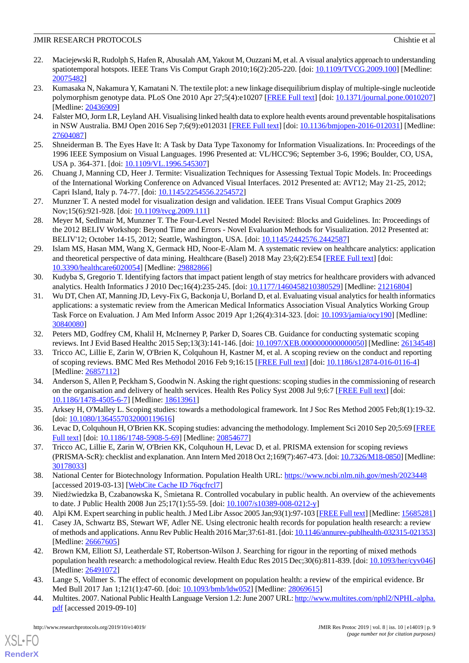- <span id="page-8-0"></span>22. Maciejewski R, Rudolph S, Hafen R, Abusalah AM, Yakout M, Ouzzani M, et al. A visual analytics approach to understanding spatiotemporal hotspots. IEEE Trans Vis Comput Graph 2010;16(2):205-220. [doi: [10.1109/TVCG.2009.100](http://dx.doi.org/10.1109/TVCG.2009.100)] [Medline: [20075482](http://www.ncbi.nlm.nih.gov/entrez/query.fcgi?cmd=Retrieve&db=PubMed&list_uids=20075482&dopt=Abstract)]
- <span id="page-8-1"></span>23. Kumasaka N, Nakamura Y, Kamatani N. The textile plot: a new linkage disequilibrium display of multiple-single nucleotide polymorphism genotype data. PLoS One 2010 Apr 27;5(4):e10207 [\[FREE Full text](http://dx.plos.org/10.1371/journal.pone.0010207)] [doi: [10.1371/journal.pone.0010207](http://dx.doi.org/10.1371/journal.pone.0010207)] [Medline: [20436909](http://www.ncbi.nlm.nih.gov/entrez/query.fcgi?cmd=Retrieve&db=PubMed&list_uids=20436909&dopt=Abstract)]
- <span id="page-8-2"></span>24. Falster MO, Jorm LR, Leyland AH. Visualising linked health data to explore health events around preventable hospitalisations in NSW Australia. BMJ Open 2016 Sep 7;6(9):e012031 [\[FREE Full text](http://bmjopen.bmj.com/cgi/pmidlookup?view=long&pmid=27604087)] [doi: [10.1136/bmjopen-2016-012031\]](http://dx.doi.org/10.1136/bmjopen-2016-012031) [Medline: [27604087](http://www.ncbi.nlm.nih.gov/entrez/query.fcgi?cmd=Retrieve&db=PubMed&list_uids=27604087&dopt=Abstract)]
- <span id="page-8-4"></span><span id="page-8-3"></span>25. Shneiderman B. The Eyes Have It: A Task by Data Type Taxonomy for Information Visualizations. In: Proceedings of the 1996 IEEE Symposium on Visual Languages. 1996 Presented at: VL/HCC'96; September 3-6, 1996; Boulder, CO, USA, USA p. 364-371. [doi: [10.1109/VL.1996.545307](http://dx.doi.org/10.1109/VL.1996.545307)]
- <span id="page-8-5"></span>26. Chuang J, Manning CD, Heer J. Termite: Visualization Techniques for Assessing Textual Topic Models. In: Proceedings of the International Working Conference on Advanced Visual Interfaces. 2012 Presented at: AVI'12; May 21-25, 2012; Capri Island, Italy p. 74-77. [doi: [10.1145/2254556.2254572](http://dx.doi.org/10.1145/2254556.2254572)]
- <span id="page-8-6"></span>27. Munzner T. A nested model for visualization design and validation. IEEE Trans Visual Comput Graphics 2009 Nov;15(6):921-928. [doi: [10.1109/tvcg.2009.111](http://dx.doi.org/10.1109/tvcg.2009.111)]
- <span id="page-8-7"></span>28. Meyer M, Sedlmair M, Munzner T. The Four-Level Nested Model Revisited: Blocks and Guidelines. In: Proceedings of the 2012 BELIV Workshop: Beyond Time and Errors - Novel Evaluation Methods for Visualization. 2012 Presented at: BELIV'12; October 14-15, 2012; Seattle, Washington, USA. [doi: [10.1145/2442576.2442587](http://dx.doi.org/10.1145/2442576.2442587)]
- <span id="page-8-8"></span>29. Islam MS, Hasan MM, Wang X, Germack HD, Noor-E-Alam M. A systematic review on healthcare analytics: application and theoretical perspective of data mining. Healthcare (Basel) 2018 May 23;6(2): E54 [[FREE Full text](http://www.mdpi.com/resolver?pii=healthcare6020054)] [doi: [10.3390/healthcare6020054\]](http://dx.doi.org/10.3390/healthcare6020054) [Medline: [29882866\]](http://www.ncbi.nlm.nih.gov/entrez/query.fcgi?cmd=Retrieve&db=PubMed&list_uids=29882866&dopt=Abstract)
- <span id="page-8-9"></span>30. Kudyba S, Gregorio T. Identifying factors that impact patient length of stay metrics for healthcare providers with advanced analytics. Health Informatics J 2010 Dec;16(4):235-245. [doi: [10.1177/1460458210380529](http://dx.doi.org/10.1177/1460458210380529)] [Medline: [21216804\]](http://www.ncbi.nlm.nih.gov/entrez/query.fcgi?cmd=Retrieve&db=PubMed&list_uids=21216804&dopt=Abstract)
- <span id="page-8-10"></span>31. Wu DT, Chen AT, Manning JD, Levy-Fix G, Backonja U, Borland D, et al. Evaluating visual analytics for health informatics applications: a systematic review from the American Medical Informatics Association Visual Analytics Working Group Task Force on Evaluation. J Am Med Inform Assoc 2019 Apr 1;26(4):314-323. [doi: [10.1093/jamia/ocy190](http://dx.doi.org/10.1093/jamia/ocy190)] [Medline: [30840080](http://www.ncbi.nlm.nih.gov/entrez/query.fcgi?cmd=Retrieve&db=PubMed&list_uids=30840080&dopt=Abstract)]
- <span id="page-8-12"></span><span id="page-8-11"></span>32. Peters MD, Godfrey CM, Khalil H, McInerney P, Parker D, Soares CB. Guidance for conducting systematic scoping reviews. Int J Evid Based Healthc 2015 Sep;13(3):141-146. [doi: [10.1097/XEB.0000000000000050](http://dx.doi.org/10.1097/XEB.0000000000000050)] [Medline: [26134548](http://www.ncbi.nlm.nih.gov/entrez/query.fcgi?cmd=Retrieve&db=PubMed&list_uids=26134548&dopt=Abstract)]
- 33. Tricco AC, Lillie E, Zarin W, O'Brien K, Colquhoun H, Kastner M, et al. A scoping review on the conduct and reporting of scoping reviews. BMC Med Res Methodol 2016 Feb 9;16:15 [\[FREE Full text\]](https://bmcmedresmethodol.biomedcentral.com/articles/10.1186/s12874-016-0116-4) [doi: [10.1186/s12874-016-0116-4](http://dx.doi.org/10.1186/s12874-016-0116-4)] [Medline: [26857112](http://www.ncbi.nlm.nih.gov/entrez/query.fcgi?cmd=Retrieve&db=PubMed&list_uids=26857112&dopt=Abstract)]
- <span id="page-8-14"></span><span id="page-8-13"></span>34. Anderson S, Allen P, Peckham S, Goodwin N. Asking the right questions: scoping studies in the commissioning of research on the organisation and delivery of health services. Health Res Policy Syst 2008 Jul 9;6:7 [[FREE Full text](https://health-policy-systems.biomedcentral.com/articles/10.1186/1478-4505-6-7)] [doi: [10.1186/1478-4505-6-7\]](http://dx.doi.org/10.1186/1478-4505-6-7) [Medline: [18613961\]](http://www.ncbi.nlm.nih.gov/entrez/query.fcgi?cmd=Retrieve&db=PubMed&list_uids=18613961&dopt=Abstract)
- <span id="page-8-15"></span>35. Arksey H, O'Malley L. Scoping studies: towards a methodological framework. Int J Soc Res Method 2005 Feb;8(1):19-32. [doi: [10.1080/1364557032000119616](http://dx.doi.org/10.1080/1364557032000119616)]
- <span id="page-8-16"></span>36. Levac D, Colquhoun H, O'Brien KK. Scoping studies: advancing the methodology. Implement Sci 2010 Sep 20;5:69 [\[FREE](https://implementationscience.biomedcentral.com/articles/10.1186/1748-5908-5-69) [Full text\]](https://implementationscience.biomedcentral.com/articles/10.1186/1748-5908-5-69) [doi: [10.1186/1748-5908-5-69\]](http://dx.doi.org/10.1186/1748-5908-5-69) [Medline: [20854677](http://www.ncbi.nlm.nih.gov/entrez/query.fcgi?cmd=Retrieve&db=PubMed&list_uids=20854677&dopt=Abstract)]
- <span id="page-8-17"></span>37. Tricco AC, Lillie E, Zarin W, O'Brien KK, Colquhoun H, Levac D, et al. PRISMA extension for scoping reviews (PRISMA-ScR): checklist and explanation. Ann Intern Med 2018 Oct 2;169(7):467-473. [doi: [10.7326/M18-0850\]](http://dx.doi.org/10.7326/M18-0850) [Medline: [30178033](http://www.ncbi.nlm.nih.gov/entrez/query.fcgi?cmd=Retrieve&db=PubMed&list_uids=30178033&dopt=Abstract)]
- <span id="page-8-19"></span><span id="page-8-18"></span>38. National Center for Biotechnology Information. Population Health URL:<https://www.ncbi.nlm.nih.gov/mesh/2023448> [accessed 2019-03-13] [\[WebCite Cache ID 76qcfrcl7](http://www.webcitation.org/

                                76qcfrcl7)]
- <span id="page-8-20"></span>39. Niedźwiedzka B, Czabanowska K, Śmietana R. Controlled vocabulary in public health. An overview of the achievements to date. J Public Health 2008 Jun 25;17(1):55-59. [doi: [10.1007/s10389-008-0212-y](http://dx.doi.org/10.1007/s10389-008-0212-y)]
- 40. Alpi KM. Expert searching in public health. J Med Libr Assoc 2005 Jan;93(1):97-103 [\[FREE Full text\]](http://europepmc.org/abstract/MED/15685281) [Medline: [15685281\]](http://www.ncbi.nlm.nih.gov/entrez/query.fcgi?cmd=Retrieve&db=PubMed&list_uids=15685281&dopt=Abstract)
- <span id="page-8-21"></span>41. Casey JA, Schwartz BS, Stewart WF, Adler NE. Using electronic health records for population health research: a review of methods and applications. Annu Rev Public Health 2016 Mar;37:61-81. [doi: [10.1146/annurev-publhealth-032315-021353\]](http://dx.doi.org/10.1146/annurev-publhealth-032315-021353) [Medline: [26667605](http://www.ncbi.nlm.nih.gov/entrez/query.fcgi?cmd=Retrieve&db=PubMed&list_uids=26667605&dopt=Abstract)]
- <span id="page-8-22"></span>42. Brown KM, Elliott SJ, Leatherdale ST, Robertson-Wilson J. Searching for rigour in the reporting of mixed methods population health research: a methodological review. Health Educ Res 2015 Dec;30(6):811-839. [doi: [10.1093/her/cyv046](http://dx.doi.org/10.1093/her/cyv046)] [Medline: [26491072](http://www.ncbi.nlm.nih.gov/entrez/query.fcgi?cmd=Retrieve&db=PubMed&list_uids=26491072&dopt=Abstract)]
- 43. Lange S, Vollmer S. The effect of economic development on population health: a review of the empirical evidence. Br Med Bull 2017 Jan 1;121(1):47-60. [doi: [10.1093/bmb/ldw052](http://dx.doi.org/10.1093/bmb/ldw052)] [Medline: [28069615\]](http://www.ncbi.nlm.nih.gov/entrez/query.fcgi?cmd=Retrieve&db=PubMed&list_uids=28069615&dopt=Abstract)
- 44. Multites. 2007. National Public Health Language Version 1.2: June 2007 URL: [http://www.multites.com/nphl2/NPHL-alpha.](http://www.multites.com/nphl2/NPHL-alpha.pdf) [pdf](http://www.multites.com/nphl2/NPHL-alpha.pdf) [accessed 2019-09-10]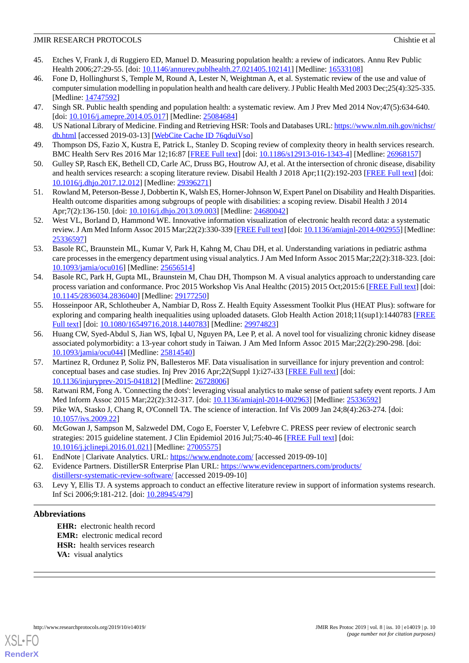- <span id="page-9-0"></span>45. Etches V, Frank J, di Ruggiero ED, Manuel D. Measuring population health: a review of indicators. Annu Rev Public Health 2006;27:29-55. [doi: [10.1146/annurev.publhealth.27.021405.102141\]](http://dx.doi.org/10.1146/annurev.publhealth.27.021405.102141) [Medline: [16533108\]](http://www.ncbi.nlm.nih.gov/entrez/query.fcgi?cmd=Retrieve&db=PubMed&list_uids=16533108&dopt=Abstract)
- <span id="page-9-2"></span>46. Fone D, Hollinghurst S, Temple M, Round A, Lester N, Weightman A, et al. Systematic review of the use and value of computer simulation modelling in population health and health care delivery. J Public Health Med 2003 Dec;25(4):325-335. [Medline: [14747592](http://www.ncbi.nlm.nih.gov/entrez/query.fcgi?cmd=Retrieve&db=PubMed&list_uids=14747592&dopt=Abstract)]
- <span id="page-9-3"></span><span id="page-9-1"></span>47. Singh SR. Public health spending and population health: a systematic review. Am J Prev Med 2014 Nov;47(5):634-640. [doi: [10.1016/j.amepre.2014.05.017](http://dx.doi.org/10.1016/j.amepre.2014.05.017)] [Medline: [25084684](http://www.ncbi.nlm.nih.gov/entrez/query.fcgi?cmd=Retrieve&db=PubMed&list_uids=25084684&dopt=Abstract)]
- <span id="page-9-4"></span>48. US National Library of Medicine. Finding and Retrieving HSR: Tools and Databases URL: [https://www.nlm.nih.gov/nichsr/](https://www.nlm.nih.gov/nichsr/db.html) [db.html](https://www.nlm.nih.gov/nichsr/db.html) [accessed 2019-03-13] [\[WebCite Cache ID 76qduiVso\]](http://www.webcitation.org/

                                76qduiVso)
- <span id="page-9-6"></span>49. Thompson DS, Fazio X, Kustra E, Patrick L, Stanley D. Scoping review of complexity theory in health services research. BMC Health Serv Res 2016 Mar 12;16:87 [[FREE Full text](https://bmchealthservres.biomedcentral.com/articles/10.1186/s12913-016-1343-4)] [doi: [10.1186/s12913-016-1343-4\]](http://dx.doi.org/10.1186/s12913-016-1343-4) [Medline: [26968157](http://www.ncbi.nlm.nih.gov/entrez/query.fcgi?cmd=Retrieve&db=PubMed&list_uids=26968157&dopt=Abstract)]
- <span id="page-9-5"></span>50. Gulley SP, Rasch EK, Bethell CD, Carle AC, Druss BG, Houtrow AJ, et al. At the intersection of chronic disease, disability and health services research: a scoping literature review. Disabil Health J 2018 Apr;11(2):192-203 [\[FREE Full text\]](http://europepmc.org/abstract/MED/29396271) [doi: [10.1016/j.dhjo.2017.12.012](http://dx.doi.org/10.1016/j.dhjo.2017.12.012)] [Medline: [29396271](http://www.ncbi.nlm.nih.gov/entrez/query.fcgi?cmd=Retrieve&db=PubMed&list_uids=29396271&dopt=Abstract)]
- <span id="page-9-7"></span>51. Rowland M, Peterson-Besse J, Dobbertin K, Walsh ES, Horner-Johnson W, Expert Panel on Disability and Health Disparities. Health outcome disparities among subgroups of people with disabilities: a scoping review. Disabil Health J 2014 Apr;7(2):136-150. [doi: [10.1016/j.dhjo.2013.09.003\]](http://dx.doi.org/10.1016/j.dhjo.2013.09.003) [Medline: [24680042\]](http://www.ncbi.nlm.nih.gov/entrez/query.fcgi?cmd=Retrieve&db=PubMed&list_uids=24680042&dopt=Abstract)
- <span id="page-9-8"></span>52. West VL, Borland D, Hammond WE. Innovative information visualization of electronic health record data: a systematic review. J Am Med Inform Assoc 2015 Mar;22(2):330-339 [[FREE Full text\]](http://europepmc.org/abstract/MED/25336597) [doi: [10.1136/amiajnl-2014-002955](http://dx.doi.org/10.1136/amiajnl-2014-002955)] [Medline: [25336597](http://www.ncbi.nlm.nih.gov/entrez/query.fcgi?cmd=Retrieve&db=PubMed&list_uids=25336597&dopt=Abstract)]
- <span id="page-9-9"></span>53. Basole RC, Braunstein ML, Kumar V, Park H, Kahng M, Chau DH, et al. Understanding variations in pediatric asthma care processes in the emergency department using visual analytics. J Am Med Inform Assoc 2015 Mar;22(2):318-323. [doi: [10.1093/jamia/ocu016](http://dx.doi.org/10.1093/jamia/ocu016)] [Medline: [25656514](http://www.ncbi.nlm.nih.gov/entrez/query.fcgi?cmd=Retrieve&db=PubMed&list_uids=25656514&dopt=Abstract)]
- <span id="page-9-10"></span>54. Basole RC, Park H, Gupta ML, Braunstein M, Chau DH, Thompson M. A visual analytics approach to understanding care process variation and conformance. Proc 2015 Workshop Vis Anal Healthc (2015) 2015 Oct;2015:6 [\[FREE Full text](http://europepmc.org/abstract/MED/29177250)] [doi: [10.1145/2836034.2836040](http://dx.doi.org/10.1145/2836034.2836040)] [Medline: [29177250](http://www.ncbi.nlm.nih.gov/entrez/query.fcgi?cmd=Retrieve&db=PubMed&list_uids=29177250&dopt=Abstract)]
- <span id="page-9-11"></span>55. Hosseinpoor AR, Schlotheuber A, Nambiar D, Ross Z. Health Equity Assessment Toolkit Plus (HEAT Plus): software for exploring and comparing health inequalities using uploaded datasets. Glob Health Action 2018;11(sup1):1440783 [\[FREE](http://europepmc.org/abstract/MED/29974823) [Full text\]](http://europepmc.org/abstract/MED/29974823) [doi: [10.1080/16549716.2018.1440783](http://dx.doi.org/10.1080/16549716.2018.1440783)] [Medline: [29974823](http://www.ncbi.nlm.nih.gov/entrez/query.fcgi?cmd=Retrieve&db=PubMed&list_uids=29974823&dopt=Abstract)]
- <span id="page-9-12"></span>56. Huang CW, Syed-Abdul S, Jian WS, Iqbal U, Nguyen PA, Lee P, et al. A novel tool for visualizing chronic kidney disease associated polymorbidity: a 13-year cohort study in Taiwan. J Am Med Inform Assoc 2015 Mar;22(2):290-298. [doi: [10.1093/jamia/ocu044](http://dx.doi.org/10.1093/jamia/ocu044)] [Medline: [25814540](http://www.ncbi.nlm.nih.gov/entrez/query.fcgi?cmd=Retrieve&db=PubMed&list_uids=25814540&dopt=Abstract)]
- <span id="page-9-14"></span><span id="page-9-13"></span>57. Martinez R, Ordunez P, Soliz PN, Ballesteros MF. Data visualisation in surveillance for injury prevention and control: conceptual bases and case studies. Inj Prev 2016 Apr;22(Suppl 1):i27-i33 [[FREE Full text](http://injuryprevention.bmj.com/cgi/pmidlookup?view=long&pmid=26728006)] [doi: [10.1136/injuryprev-2015-041812\]](http://dx.doi.org/10.1136/injuryprev-2015-041812) [Medline: [26728006\]](http://www.ncbi.nlm.nih.gov/entrez/query.fcgi?cmd=Retrieve&db=PubMed&list_uids=26728006&dopt=Abstract)
- <span id="page-9-15"></span>58. Ratwani RM, Fong A. 'Connecting the dots': leveraging visual analytics to make sense of patient safety event reports. J Am Med Inform Assoc 2015 Mar;22(2):312-317. [doi: [10.1136/amiajnl-2014-002963\]](http://dx.doi.org/10.1136/amiajnl-2014-002963) [Medline: [25336592](http://www.ncbi.nlm.nih.gov/entrez/query.fcgi?cmd=Retrieve&db=PubMed&list_uids=25336592&dopt=Abstract)]
- <span id="page-9-16"></span>59. Pike WA, Stasko J, Chang R, O'Connell TA. The science of interaction. Inf Vis 2009 Jan 24;8(4):263-274. [doi: [10.1057/ivs.2009.22](http://dx.doi.org/10.1057/ivs.2009.22)]
- <span id="page-9-18"></span><span id="page-9-17"></span>60. McGowan J, Sampson M, Salzwedel DM, Cogo E, Foerster V, Lefebvre C. PRESS peer review of electronic search strategies: 2015 guideline statement. J Clin Epidemiol 2016 Jul;75:40-46 [\[FREE Full text\]](https://linkinghub.elsevier.com/retrieve/pii/S0895-4356(16)00058-5) [doi: [10.1016/j.jclinepi.2016.01.021\]](http://dx.doi.org/10.1016/j.jclinepi.2016.01.021) [Medline: [27005575](http://www.ncbi.nlm.nih.gov/entrez/query.fcgi?cmd=Retrieve&db=PubMed&list_uids=27005575&dopt=Abstract)]
- 61. EndNote | Clarivate Analytics. URL:<https://www.endnote.com/> [accessed 2019-09-10]
- 62. Evidence Partners. DistillerSR Enterprise Plan URL: [https://www.evidencepartners.com/products/](https://www.evidencepartners.com/products/distillersr-systematic-review-software/) [distillersr-systematic-review-software/](https://www.evidencepartners.com/products/distillersr-systematic-review-software/) [accessed 2019-09-10]
- 63. Levy Y, Ellis TJ. A systems approach to conduct an effective literature review in support of information systems research. Inf Sci 2006;9:181-212. [doi: [10.28945/479\]](http://dx.doi.org/10.28945/479)

## **Abbreviations**

**EHR:** electronic health record **EMR:** electronic medical record **HSR:** health services research **VA:** visual analytics